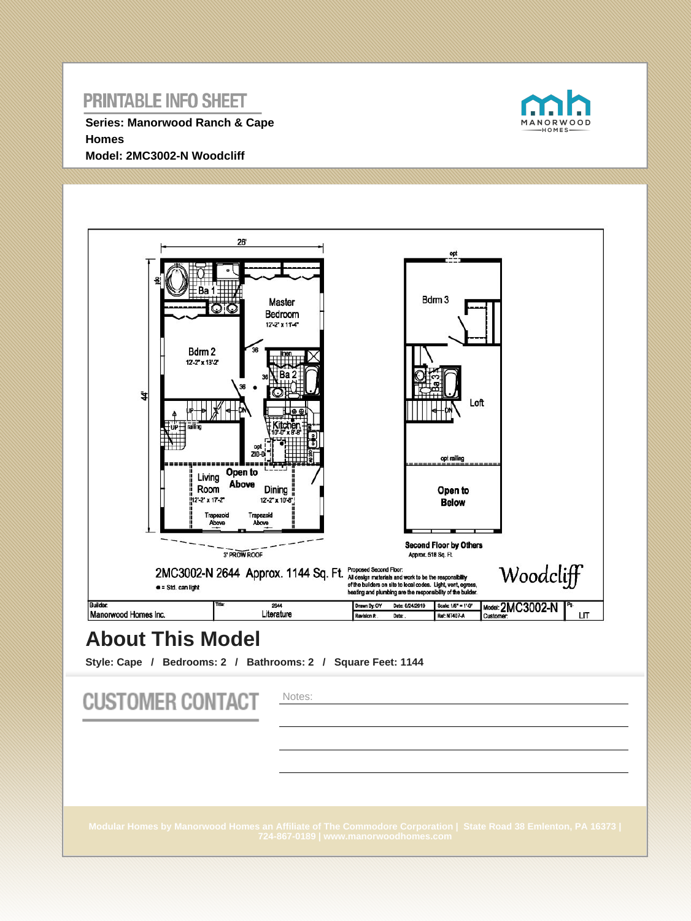**Series: Manorwood Ranch & Cape Homes Model: 2MC3002-N Woodcliff**





# **About This Model**

**Style: Cape / Bedrooms: 2 / Bathrooms: 2 / Square Feet: 1144**

| <b>CUSTOMER CONTACT</b> | Notes:                                                                                                                                                   |
|-------------------------|----------------------------------------------------------------------------------------------------------------------------------------------------------|
|                         | Modular Homes by Manorwood Homes an Affiliate of The Commodore Corporation   State Road 38 Emlenton, PA 16373  <br>724-867-0189   www.manorwoodhomes.com |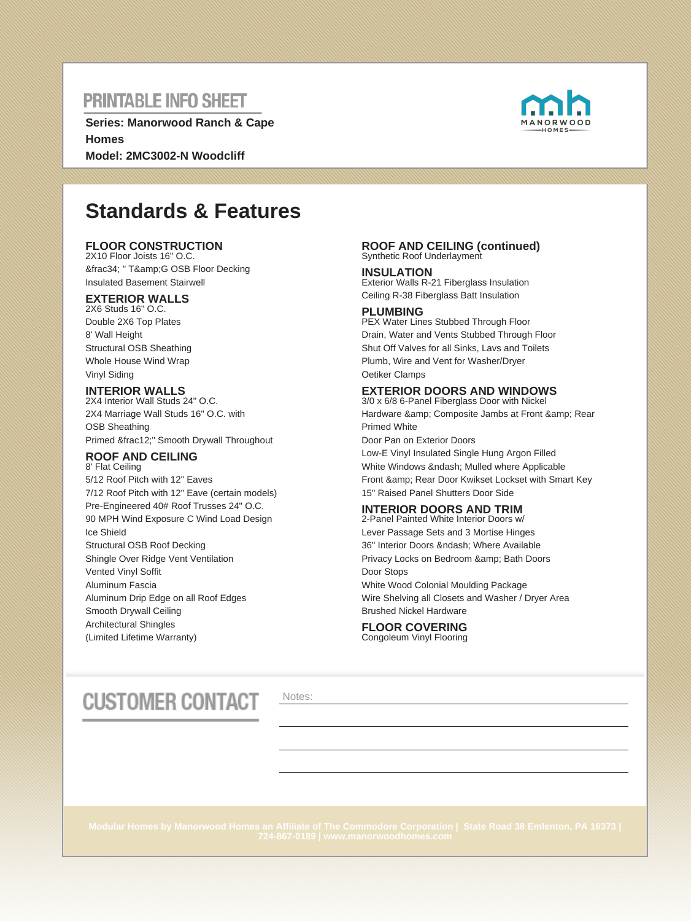**Series: Manorwood Ranch & Cape Homes Model: 2MC3002-N Woodcliff**



# **Standards & Features**

### **FLOOR CONSTRUCTION**

2X10 Floor Joists 16" O.C. ¾ " T&G OSB Floor Decking Insulated Basement Stairwell

### **EXTERIOR WALLS**

2X6 Studs 16" O.C. Double 2X6 Top Plates 8' Wall Height Structural OSB Sheathing Whole House Wind Wrap Vinyl Siding

### **INTERIOR WALLS**

2X4 Interior Wall Studs 24" O.C. 2X4 Marriage Wall Studs 16" O.C. with OSB Sheathing Primed ½" Smooth Drywall Throughout

#### **ROOF AND CEILING** 8' Flat Ceiling

5/12 Roof Pitch with 12" Eaves 7/12 Roof Pitch with 12" Eave (certain models) Pre-Engineered 40# Roof Trusses 24" O.C. 90 MPH Wind Exposure C Wind Load Design Ice Shield Structural OSB Roof Decking Shingle Over Ridge Vent Ventilation Vented Vinyl Soffit Aluminum Fascia Aluminum Drip Edge on all Roof Edges Smooth Drywall Ceiling Architectural Shingles (Limited Lifetime Warranty)

#### **ROOF AND CEILING (continued)** Synthetic Roof Underlayment

**INSULATION** Exterior Walls R-21 Fiberglass Insulation Ceiling R-38 Fiberglass Batt Insulation

### **PLUMBING**

PEX Water Lines Stubbed Through Floor Drain, Water and Vents Stubbed Through Floor Shut Off Valves for all Sinks, Lavs and Toilets Plumb, Wire and Vent for Washer/Dryer Oetiker Clamps

### **EXTERIOR DOORS AND WINDOWS**

3/0 x 6/8 6-Panel Fiberglass Door with Nickel Hardware & amp; Composite Jambs at Front & amp; Rear Primed White Door Pan on Exterior Doors Low-E Vinyl Insulated Single Hung Argon Filled White Windows & ndash; Mulled where Applicable Front & amp: Rear Door Kwikset Lockset with Smart Key

15" Raised Panel Shutters Door Side

#### **INTERIOR DOORS AND TRIM** 2-Panel Painted White Interior Doors w/

Lever Passage Sets and 3 Mortise Hinges 36" Interior Doors – Where Available Privacy Locks on Bedroom & amp; Bath Doors Door Stops White Wood Colonial Moulding Package Wire Shelving all Closets and Washer / Dryer Area Brushed Nickel Hardware

### **FLOOR COVERING** Congoleum Vinyl Flooring

# **CUSTOMER CONTACT**

Notes: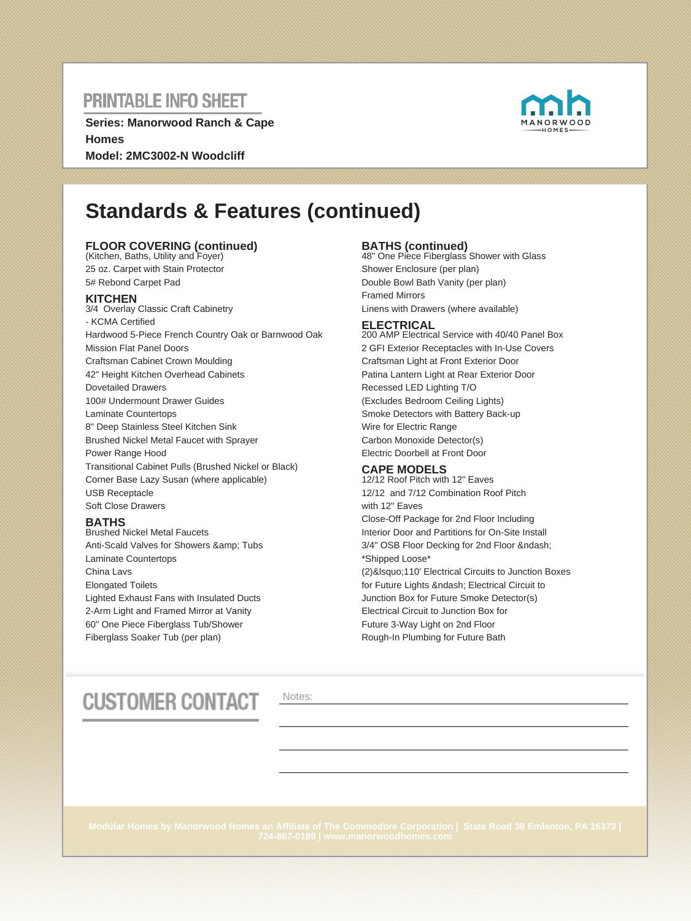**Series: Manorwood Ranch & Cape Homes Model: 2MC3002-N Woodcliff**



# **Standards & Features (continued)**

### **FLOOR COVERING (continued)** (Kitchen, Baths, Utility and Foyer)

25 oz. Carpet with Stain Protector 5# Rebond Carpet Pad

### **KITCHEN**

3/4 Overlay Classic Craft Cabinetry - KCMA Certified Hardwood 5-Piece French Country Oak or Barnwood Oak Mission Flat Panel Doors Craftsman Cabinet Crown Moulding 42" Height Kitchen Overhead Cabinets Dovetailed Drawers 100# Undermount Drawer Guides Laminate Countertops 8" Deep Stainless Steel Kitchen Sink Brushed Nickel Metal Faucet with Sprayer Power Range Hood Transitional Cabinet Pulls (Brushed Nickel or Black) Corner Base Lazy Susan (where applicable) USB Receptacle Soft Close Drawers

### **BATHS**

Brushed Nickel Metal Faucets Anti-Scald Valves for Showers & amp; Tubs Laminate Countertops China Lavs Elongated Toilets Lighted Exhaust Fans with Insulated Ducts 2-Arm Light and Framed Mirror at Vanity 60" One Piece Fiberglass Tub/Shower Fiberglass Soaker Tub (per plan)

**BATHS (continued)** 48" One Piece Fiberglass Shower with Glass Shower Enclosure (per plan) Double Bowl Bath Vanity (per plan) Framed Mirrors Linens with Drawers (where available)

### **ELECTRICAL**

200 AMP Electrical Service with 40/40 Panel Box 2 GFI Exterior Receptacles with In-Use Covers Craftsman Light at Front Exterior Door Patina Lantern Light at Rear Exterior Door Recessed LED Lighting T/O (Excludes Bedroom Ceiling Lights) Smoke Detectors with Battery Back-up Wire for Electric Range Carbon Monoxide Detector(s) Electric Doorbell at Front Door

### **CAPE MODELS**

12/12 Roof Pitch with 12" Eaves 12/12 and 7/12 Combination Roof Pitch with 12" Eaves Close-Off Package for 2nd Floor Including Interior Door and Partitions for On-Site Install 3/4" OSB Floor Decking for 2nd Floor – \*Shipped Loose\* (2)&Isquo;110' Electrical Circuits to Junction Boxes for Future Lights – Electrical Circuit to Junction Box for Future Smoke Detector(s) Electrical Circuit to Junction Box for Future 3-Way Light on 2nd Floor Rough-In Plumbing for Future Bath

# **CUSTOMER CONTACT**

Notes: